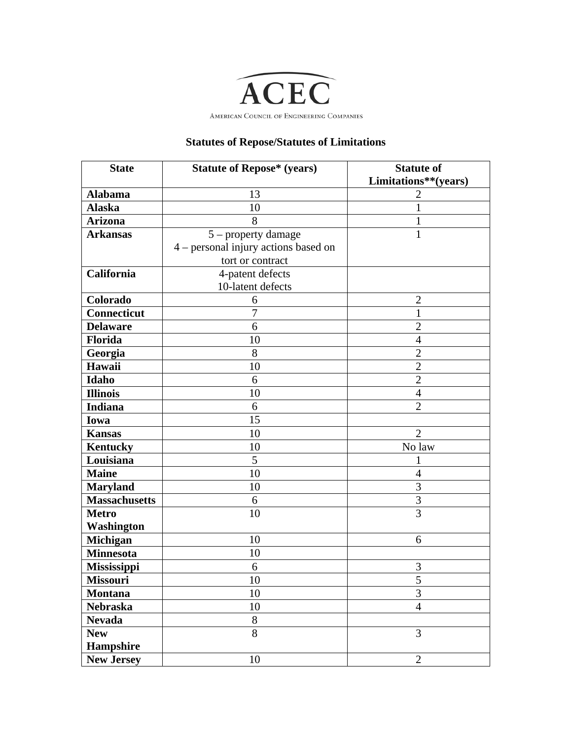

## **Statutes of Repose/Statutes of Limitations**

| <b>State</b>         | <b>Statute of Repose* (years)</b>    | <b>Statute of</b><br>Limitations**(years) |
|----------------------|--------------------------------------|-------------------------------------------|
| <b>Alabama</b>       | 13                                   | 2                                         |
| <b>Alaska</b>        | 10                                   | 1                                         |
| <b>Arizona</b>       | 8                                    | $\mathbf{1}$                              |
| <b>Arkansas</b>      | 5 - property damage                  | $\mathbf{1}$                              |
|                      | 4 – personal injury actions based on |                                           |
|                      | tort or contract                     |                                           |
| California           | 4-patent defects                     |                                           |
|                      | 10-latent defects                    |                                           |
| Colorado             | 6                                    | $\overline{2}$                            |
| Connecticut          | $\overline{7}$                       | $\mathbf{1}$                              |
| <b>Delaware</b>      | 6                                    | $\overline{2}$                            |
| Florida              | 10                                   | $\overline{4}$                            |
| Georgia              | 8                                    | $\overline{2}$                            |
| Hawaii               | 10                                   | $\overline{2}$                            |
| Idaho                | 6                                    | $\overline{2}$                            |
| <b>Illinois</b>      | 10                                   | $\overline{4}$                            |
| <b>Indiana</b>       | 6                                    | $\overline{2}$                            |
| Iowa                 | 15                                   |                                           |
| <b>Kansas</b>        | 10                                   | $\overline{2}$                            |
| Kentucky             | 10                                   | No law                                    |
| Louisiana            | 5                                    | 1                                         |
| <b>Maine</b>         | 10                                   | 4                                         |
| <b>Maryland</b>      | 10                                   | 3                                         |
| <b>Massachusetts</b> | 6                                    | $\overline{3}$                            |
| <b>Metro</b>         | 10                                   | $\overline{3}$                            |
| Washington           |                                      |                                           |
| Michigan             | 10                                   | 6                                         |
| <b>Minnesota</b>     | 10                                   |                                           |
| <b>Mississippi</b>   | 6                                    | 3                                         |
| <b>Missouri</b>      | 10                                   | $\mathcal{L}$                             |
| <b>Montana</b>       | 10                                   | $\overline{3}$                            |
| <b>Nebraska</b>      | 10                                   | $\overline{4}$                            |
| <b>Nevada</b>        | $8\,$                                |                                           |
| <b>New</b>           | 8                                    | $\overline{3}$                            |
| Hampshire            |                                      |                                           |
| <b>New Jersey</b>    | 10                                   | $\overline{2}$                            |